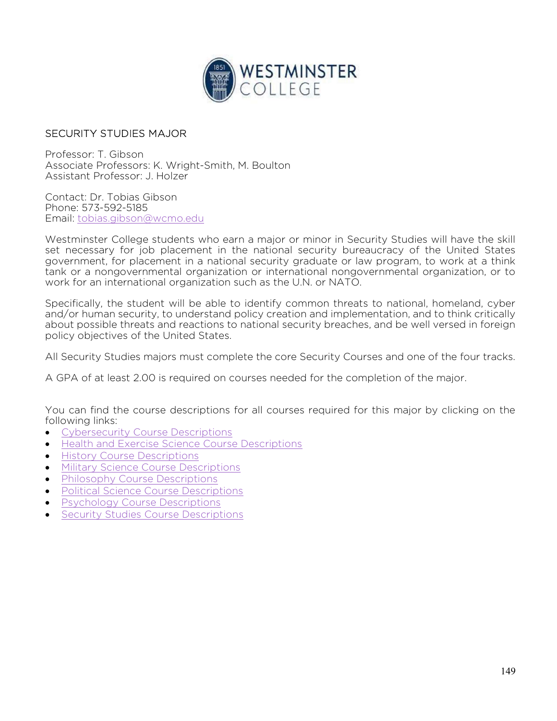

## SECURITY STUDIES MAJOR

Professor: T. Gibson Associate Professors: K. Wright-Smith, M. Boulton Assistant Professor: J. Holzer

Contact: Dr. Tobias Gibson Phone: 573-592-5185 Email: tobias.gibson@wcmo.edu

Westminster College students who earn a major or minor in Security Studies will have the skill set necessary for job placement in the national security bureaucracy of the United States government, for placement in a national security graduate or law program, to work at a think tank or a nongovernmental organization or international nongovernmental organization, or to work for an international organization such as the U.N. or NATO.

Specifically, the student will be able to identify common threats to national, homeland, cyber and/or human security, to understand policy creation and implementation, and to think critically about possible threats and reactions to national security breaches, and be well versed in foreign policy objectives of the United States.

All Security Studies majors must complete the core Security Courses and one of the four tracks.

A GPA of at least 2.00 is required on courses needed for the completion of the major.

You can find the course descriptions for all courses required for this major by clicking on the following links:

- Cybersecurity Course Descriptions
- Health and Exercise Science Course Descriptions
- **•** History Course Descriptions
- **Military Science Course Descriptions**
- Philosophy Course Descriptions
- Political Science Course Descriptions
- Psychology Course Descriptions
- Security Studies Course Descriptions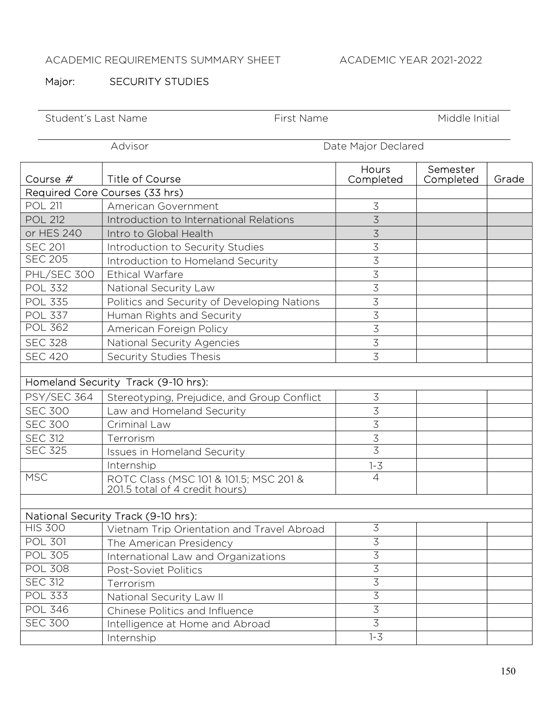## ACADEMIC REQUIREMENTS SUMMARY SHEET ACADEMIC YEAR 2021-2022

## Major: SECURITY STUDIES

| Student's Last Name            |                                                                          | First Name |                    | Middle Initial        |       |
|--------------------------------|--------------------------------------------------------------------------|------------|--------------------|-----------------------|-------|
| Advisor<br>Date Major Declared |                                                                          |            |                    |                       |       |
| Course $#$                     | <b>Title of Course</b>                                                   |            | Hours<br>Completed | Semester<br>Completed | Grade |
|                                | Required Core Courses (33 hrs)                                           |            |                    |                       |       |
| <b>POL 211</b>                 | American Government                                                      |            | $\overline{3}$     |                       |       |
| <b>POL 212</b>                 | Introduction to International Relations                                  |            | 3                  |                       |       |
| or HES 240                     | Intro to Global Health                                                   |            | $\overline{3}$     |                       |       |
| <b>SEC 201</b>                 | Introduction to Security Studies                                         |            | 3                  |                       |       |
| <b>SEC 205</b>                 | Introduction to Homeland Security                                        |            | $\overline{3}$     |                       |       |
| PHL/SEC 300                    | Ethical Warfare                                                          |            | 3                  |                       |       |
| <b>POL 332</b>                 | National Security Law                                                    |            | $\overline{3}$     |                       |       |
| <b>POL 335</b>                 | Politics and Security of Developing Nations                              |            | $\overline{3}$     |                       |       |
| <b>POL 337</b>                 | Human Rights and Security                                                |            | $\overline{3}$     |                       |       |
| <b>POL 362</b>                 | American Foreign Policy                                                  |            | $\overline{3}$     |                       |       |
| <b>SEC 328</b>                 | National Security Agencies                                               |            | $\overline{3}$     |                       |       |
| <b>SEC 420</b>                 | Security Studies Thesis                                                  |            | $\overline{3}$     |                       |       |
|                                |                                                                          |            |                    |                       |       |
|                                | Homeland Security Track (9-10 hrs):                                      |            |                    |                       |       |
| <b>PSY/SEC 364</b>             | Stereotyping, Prejudice, and Group Conflict                              |            | $\mathfrak{Z}$     |                       |       |
| <b>SEC 300</b>                 | Law and Homeland Security                                                |            | 3                  |                       |       |
| <b>SEC 300</b>                 | Criminal Law                                                             |            | $\overline{3}$     |                       |       |
| <b>SEC 312</b>                 | Terrorism                                                                |            | 3                  |                       |       |
| <b>SEC 325</b>                 | <b>Issues in Homeland Security</b>                                       |            | 3                  |                       |       |
|                                | Internship                                                               |            | $1 - 3$            |                       |       |
| <b>MSC</b>                     | ROTC Class (MSC 101 & 101.5; MSC 201 &<br>201.5 total of 4 credit hours) |            | $\overline{4}$     |                       |       |
|                                |                                                                          |            |                    |                       |       |
|                                | National Security Track (9-10 hrs):                                      |            |                    |                       |       |
| <b>HIS 300</b>                 | Vietnam Trip Orientation and Travel Abroad                               |            | $\mathfrak{Z}$     |                       |       |
| <b>POL 301</b>                 | The American Presidency                                                  |            | $\overline{3}$     |                       |       |
| <b>POL 305</b>                 | International Law and Organizations                                      |            | $\overline{3}$     |                       |       |
| <b>POL 308</b>                 | Post-Soviet Politics                                                     |            | $\overline{3}$     |                       |       |
| <b>SEC 312</b>                 | Terrorism                                                                |            | $\overline{3}$     |                       |       |
| <b>POL 333</b>                 | National Security Law II                                                 |            | $\overline{3}$     |                       |       |
| <b>POL 346</b>                 | Chinese Politics and Influence                                           |            | $\overline{3}$     |                       |       |
| <b>SEC 300</b>                 | Intelligence at Home and Abroad                                          |            | $\overline{3}$     |                       |       |
|                                | Internship                                                               |            | $1 - 3$            |                       |       |